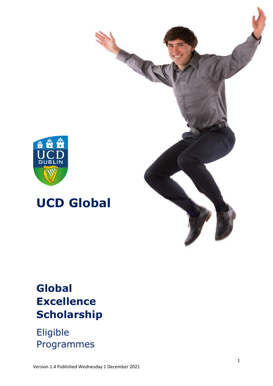

# **UCD Global**

# **Global Excellence Scholarship**

# Eligible Programmes

Version 1.4 Published Wednesday 1 December 2021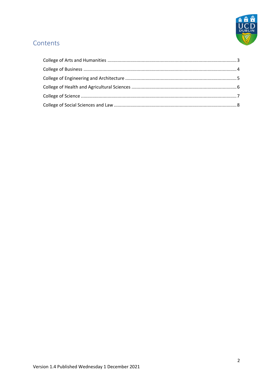

# Contents

<span id="page-1-0"></span>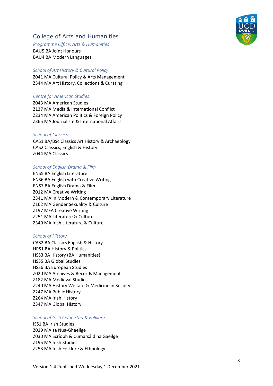## College of Arts and Humanities

#### *Programme Office: Arts & Humanities*

BAU5 BA Joint Honours BAU4 BA Modern Languages

### *School of Art History & Cultural Policy*

Z041 MA Cultural Policy & Arts Management Z344 MA Art History, Collections & Curating

#### *Centre for American Studies*

Z043 MA American Studies Z137 MA Media & International Conflict Z234 MA American Politics & Foreign Policy Z365 MA Journalism & International Affairs

#### *School of Classics*

CAS1 BA/BSc Classics Art History & Archaeology CAS2 Classics, English & History Z044 MA Classics

#### *School of English Drama & Film*

ENS5 BA English Literature ENS6 BA English with Creative Writing ENS7 BA English Drama & Film Z012 MA Creative Writing Z341 MA in Modern & Contemporary Literature Z162 MA Gender Sexuality & Culture Z197 MFA Creative Writing Z251 MA Literature & Culture Z349 MA Irish Literature & Culture

#### *School of History*

CAS2 BA Classics English & History HPS1 BA History & Politics HSS3 BA History (BA Humanities) HSS5 BA Global Studies HSS6 BA European Studies Z020 MA Archives & Records Management Z182 MA Medieval Studies Z240 MA History Welfare & Medicine in Society Z247 MA Public History Z264 MA Irish History Z347 MA Global History

### *School of Irish Celtic Stud & Folklore*

ISS1 BA Irish Studies Z029 MA sa Nua -Ghaeilge Z030 MA Scríobh & Cumarsáid na Gae ilge Z195 MA Irish Studies Z253 MA Irish Folklore & Ethnology

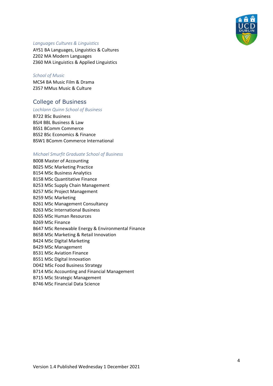

#### *Languages Cultures & Linguistics*

AYS1 BA Languages, Linguistics & Cultures Z202 MA Modern Languages Z360 MA Linguistics & Applied Linguistics

#### *School of Music*

MCS4 BA Music Film & Drama Z357 MMus Music & Culture

## <span id="page-3-0"></span>College of Business

### *Lochlann Quinn School of Business*

B722 BSc Business BSJ4 BBL Business & Law BSS1 BComm Commerce BSS2 BSc Economics & Finance BSW1 BComm Commerce International

#### *Michael Smurfit Graduate School of Business*

B008 Master of Accounting B025 MSc Marketing Practice B154 MSc Business Analytics B158 MSc Quantitative Finance B253 MSc Supply Chain Management B257 MSc Project Management B259 MSc Marketing B261 MSc Management Consultancy B263 MSc International Business B265 MSc Human Resources B269 MSc Finance B647 MSc Renewable Energy & Environmental Finance B658 MSc Marketing & Retail Innovation B424 MSc Digital Marketing B429 MSc Management B531 MSc Aviation Finance B551 MSc Digital Innovation D042 MSc Food Business Strategy B714 MSc Accounting and Financial Management B715 MSc Strategic Management B746 MSc Financial Data Science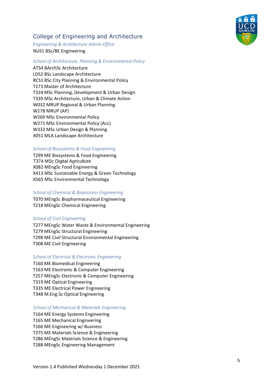# <span id="page-4-0"></span>College of Engineering and Architecture

*Engineering & Architecture Admin Office* NUS1 BSc/BE Engineering

#### *School of Architecture, Planning & Environmental Policy*

ATS4 BArchSc Architecture LDS2 BSc Landscape Architecture RCS1 BSc City Planning & Environmental Policy T273 Master of Architecture T324 MSc Planning, Development & Urban Design T339 MSc Architecture, Urban & Climate Action W032 MRUP Regional & Urban Planning W178 MRUP (AP) W269 MSc Environmental Policy W271 MSc Environmental Policy (Acc) W332 MSc Urban Design & Planning X051 MLA Landscape Architecture

#### *School of Biosystems & Food Engineering*

T299 ME Biosystems & Food Engineering T374 MSc Digital Agriculture X082 MEngSc Food Engineering X413 MSc Sustainable Energy & Green Technology X565 MSc Environmental Technology

#### *School of Chemical & Bioprocess Engineering*

T070 MEngSc Biopharmaceutical Engineering T218 MEngSc Chemical Engineering

#### *School of Civil Engineering*

T277 MEngSc Water Waste & Environmental Engineering T279 MEngSc Structural Engineering T298 ME Civil Structural Environmental Engineering T308 ME Civil Engineering

#### *School of Electrical & Electronic Engineering*

T160 ME Biomedical Engineering T163 ME Electronic & Computer Engineering T257 MEngSc Electronic & Computer Engineering T319 ME Optical Engineering T335 ME Electrical Power Engineering T348 M.Eng.Sc Optical Engineering

#### *School of Mechanical & Materials Engineering*

T164 ME Energy Systems Engineering T165 ME Mechanical Engineering T166 ME Engineering w/ Business T275 ME Materials Science & Engineering T286 MEngSc Materials Science & Engineering T288 MEngSc Engineering Management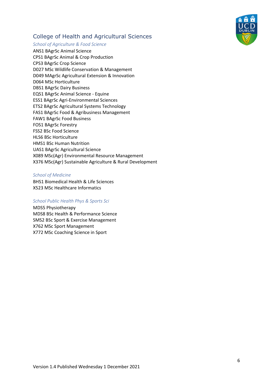

# <span id="page-5-0"></span>College of Health and Agricultural Sciences

#### *School of Agriculture & Food Science*

ANS1 BAgrSc Animal Science CPS1 BAgrSc Animal & Crop Production CPS3 BAgrSc Crop Science D027 MSc Wildlife Conservation & Management D049 MAgrSc Agricultural Extension & Innovation D064 MSc Horticulture DBS1 BAgrSc Dairy Business EQS1 BAgrSc Animal Science - Equine ESS1 BAgrSc Agri-Environmental Sciences ETS2 BAgrSc Agricultural Systems Technology FAS1 BAgrSc Food & Agribusiness Management FAW1 BAgrSc Food Business FOS1 BAgrSc Forestry FSS2 BSc Food Science HLS6 BSc Horticulture HMS1 BSc Human Nutrition UAS1 BAgrSc Agricultural Science X089 MSc(Agr) Environmental Resource Management X376 MSc(Agr) Sustainable Agriculture & Rural Development

#### *School of Medicine*

BHS1 Biomedical Health & Life Sciences X523 MSc Healthcare Informatics

#### *School Public Health Phys & Sports Sci*

MDS5 Physiotherapy MDS8 BSc Health & Performance Science SMS2 BSc Sport & Exercise Management X762 MSc Sport Management X772 MSc Coaching Science in Sport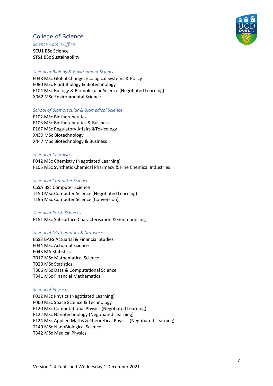

## <span id="page-6-0"></span>College of Science

*Science Admin Office*

SCU1 BSc Science STS1 BSc Sustainability

### *School of Biology & Environment Science*

F038 MSc Global Change: Ecological Systems & Policy F080 MSc Plant Biology & Biotechnology F104 MSc Biology & Biomolecular Science (Negotiated Learning) X062 MSc Environmental Science

#### *School of Biomolecular & Biomedical Science*

F102 MSc Biotherapeutics F103 MSc Biotherapeutics & Business F167 MSc Regulatory Affairs &Toxicology X439 MSc Biotechnology X447 MSc Biotechnology & Business

#### *School of Chemistry*

F042 MSc Chemistry (Negotiated Learning) F105 MSc Synthetic Chemical Pharmacy & Fine Chemical Industries

#### *School of Computer Science*

CSSA BSc Computer Science T150 MSc Computer Science (Negotiated Learning) T195 MSc Computer Science (Conversion)

#### *School of Earth Sciences*

F181 MSc Subsurface Characterisation & Geomodelling

#### *School of Mathematics & Statistics*

BSS3 BAFS Actuarial & Financial Studies F034 MSc Actuarial Science F043 MA Statistics T017 MSc Mathematical Science T020 MSc Statistics T306 MSc Data & Computational Science T341 MSc Financial Mathematics

#### *School of Physics*

F012 MSc Physics (Negotiated Learning) F060 MSc Space Science & Technology F120 MSc Computational Physics (Negotiated Learning) F122 MSc Nanotechnology (Negotiated Learning) F124 MSc Applied Maths & Theoretical Physics (Negotiated Learning) T149 MSc NanoBiological Science T342 MSc Medical Physics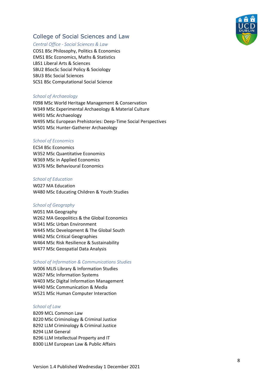

# <span id="page-7-0"></span>College of Social Sciences and Law

#### *Central Office - Social Sciences & Law*

COS1 BSc Philosophy, Politics & Economics EMS1 BSc Economics, Maths & Statistics LBS1 Liberal Arts & Sciences SBU2 BSocSc Social Policy & Sociology SBU3 BSc Social Sciences SCS1 BSc Computational Social Science

#### *School of Archaeology*

F098 MSc World Heritage Management & Conservation W349 MSc Experimental Archaeology & Material Culture W491 MSc Archaeology W495 MSc European Prehistories: Deep-Time Social Perspectives W501 MSc Hunter-Gatherer Archaeology

#### *School of Economics*

ECS4 BSc Economics W352 MSc Quantitative Economics W369 MSc in Applied Economics W376 MSc Behavioural Economics

#### *School of Education*

W027 MA Education W480 MSc Educating Children & Youth Studies

#### *School of Geography*

W051 MA Geography W262 MA Geopolitics & the Global Economics W341 MSc Urban Environment W445 MSc Development & The Global South W462 MSc Critical Geographies W464 MSc Risk Resilience & Sustainability W477 MSc Geospatial Data Analysis

#### *School of Information & Communications Studies*

W006 MLIS Library & Information Studies W267 MSc Information Systems W403 MSc Digital Information Management W440 MSc Communication & Media W521 MSc Human Computer Interaction

#### *School of Law*

B209 MCL Common Law B220 MSc Criminology & Criminal Justice B292 LLM Criminology & Criminal Justice B294 LLM General B296 LLM Intellectual Property and IT B300 LLM European Law & Public Affairs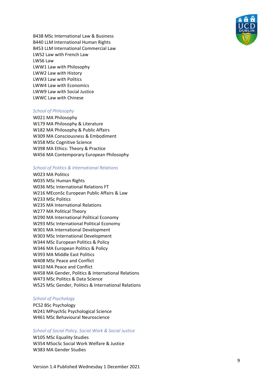

B438 MSc International Law & Business B440 LLM International Human Rights B453 LLM International Commercial Law LWS2 Law with French Law LWS6 Law LWW1 Law with Philosophy LWW2 Law with History LWW3 Law with Politics LWW4 Law with Economics LWW9 Law with Social Justice LWWC Law with Chinese

#### *School of Philosophy*

W021 MA Philosophy W179 MA Philosophy & Literature W182 MA Philosophy & Public Affairs W309 MA Consciousness & Embodiment W358 MSc Cognitive Science W398 MA Ethics: Theory & Practice W456 MA Contemporary European Philosophy

#### *School of Politics & International Relations*

#### W023 MA Politics

W035 MSc Human Rights W036 MSc International Relations FT W216 MEconSc European Public Affairs & Law W233 MSc Politics W235 MA International Relations W277 MA Political Theory W290 MA International Political Economy W293 MSc International Political Economy W301 MA International Development W303 MSc International Development W344 MSc European Politics & Policy W346 MA European Politics & Policy W393 MA Middle East Politics W408 MSc Peace and Conflict W410 MA Peace and Conflict W458 MA Gender, Politics & International Relations W473 MSc Politics & Data Science W525 MSc Gender, Politics & International Relations

#### *School of Psychology*

PCS2 BSc Psychology W241 MPsychSc Psychological Science W461 MSc Behavioural Neuroscience

#### *School of Social Policy, Social Work & Social Justice*

W105 MSc Equality Studies W354 MSocSc Social Work Welfare & Justice W383 MA Gender Studies